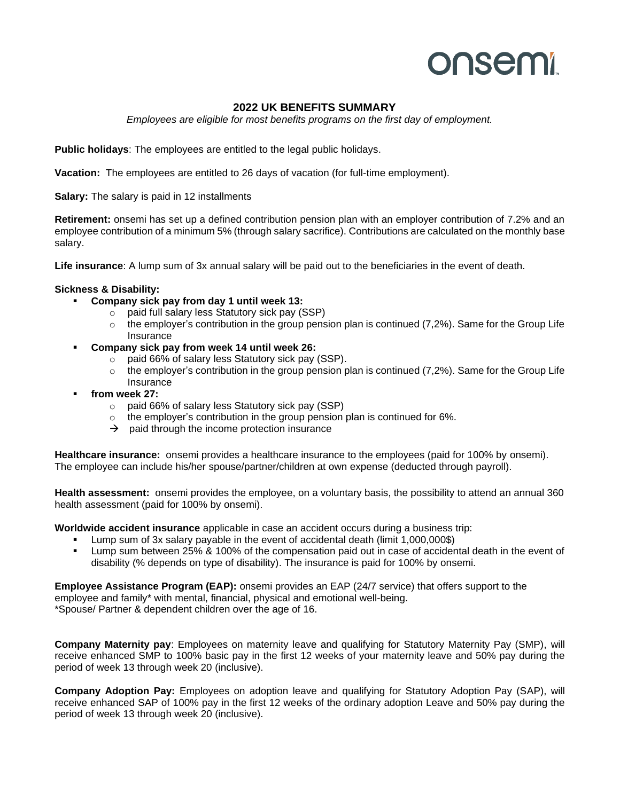# **onsemi**

### **2022 UK BENEFITS SUMMARY**

*Employees are eligible for most benefits programs on the first day of employment.*

**Public holidays**: The employees are entitled to the legal public holidays.

**Vacation:** The employees are entitled to 26 days of vacation (for full-time employment).

**Salary:** The salary is paid in 12 installments

**Retirement:** onsemi has set up a defined contribution pension plan with an employer contribution of 7.2% and an employee contribution of a minimum 5% (through salary sacrifice). Contributions are calculated on the monthly base salary.

**Life insurance**: A lump sum of 3x annual salary will be paid out to the beneficiaries in the event of death.

#### **Sickness & Disability:**

- **Company sick pay from day 1 until week 13:** 
	- o paid full salary less Statutory sick pay (SSP)
	- $\circ$  the employer's contribution in the group pension plan is continued (7,2%). Same for the Group Life Insurance
- **Company sick pay from week 14 until week 26:**
	- o paid 66% of salary less Statutory sick pay (SSP).
	- $\circ$  the employer's contribution in the group pension plan is continued (7,2%). Same for the Group Life Insurance
- from week 27:
	- o paid 66% of salary less Statutory sick pay (SSP)
	- $\circ$  the employer's contribution in the group pension plan is continued for 6%.
	- $\rightarrow$  paid through the income protection insurance

**Healthcare insurance:** onsemi provides a healthcare insurance to the employees (paid for 100% by onsemi). The employee can include his/her spouse/partner/children at own expense (deducted through payroll).

**Health assessment:** onsemi provides the employee, on a voluntary basis, the possibility to attend an annual 360 health assessment (paid for 100% by onsemi).

**Worldwide accident insurance** applicable in case an accident occurs during a business trip:

- Lump sum of 3x salary payable in the event of accidental death (limit 1,000,000\$)
- Lump sum between 25% & 100% of the compensation paid out in case of accidental death in the event of disability (% depends on type of disability). The insurance is paid for 100% by onsemi.

**Employee Assistance Program (EAP):** onsemi provides an EAP (24/7 service) that offers support to the employee and family\* with mental, financial, physical and emotional well-being. \*Spouse/ Partner & dependent children over the age of 16.

**Company Maternity pay**: Employees on maternity leave and qualifying for Statutory Maternity Pay (SMP), will receive enhanced SMP to 100% basic pay in the first 12 weeks of your maternity leave and 50% pay during the period of week 13 through week 20 (inclusive).

**Company Adoption Pay:** Employees on adoption leave and qualifying for Statutory Adoption Pay (SAP), will receive enhanced SAP of 100% pay in the first 12 weeks of the ordinary adoption Leave and 50% pay during the period of week 13 through week 20 (inclusive).